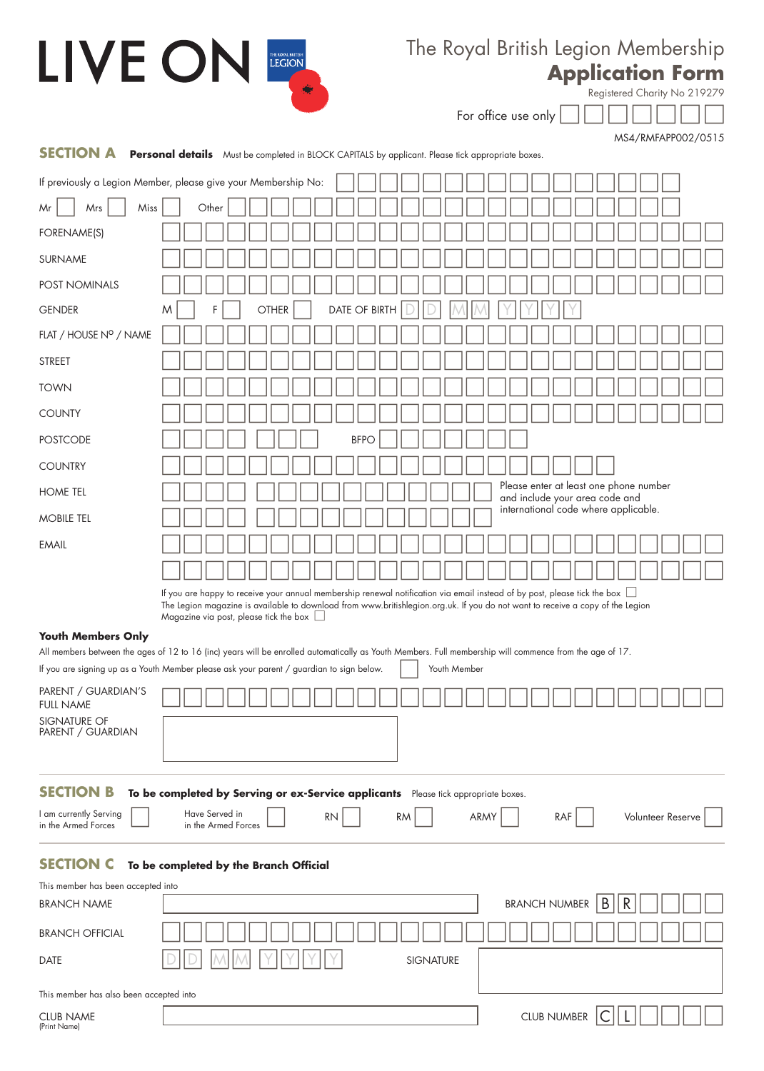| LIVE ON                                       | THE ROYAL BRITISH                                                                                                                                       | The Royal British Legion Membership                                                                                            |
|-----------------------------------------------|---------------------------------------------------------------------------------------------------------------------------------------------------------|--------------------------------------------------------------------------------------------------------------------------------|
|                                               |                                                                                                                                                         | <b>Application Form</b>                                                                                                        |
|                                               | 爍                                                                                                                                                       | Registered Charity No 219279                                                                                                   |
|                                               |                                                                                                                                                         | For office use only                                                                                                            |
| <b>SECTION A</b>                              | <b>Personal details</b> Must be completed in BLOCK CAPITALS by applicant. Please tick appropriate boxes.                                                | MS4/RMFAPP002/0515                                                                                                             |
|                                               | If previously a Legion Member, please give your Membership No:                                                                                          |                                                                                                                                |
| Miss<br>Mr<br>Mrs                             | Other                                                                                                                                                   |                                                                                                                                |
| FORENAME(S)                                   |                                                                                                                                                         |                                                                                                                                |
| SURNAME                                       |                                                                                                                                                         |                                                                                                                                |
| POST NOMINALS                                 |                                                                                                                                                         |                                                                                                                                |
| <b>GENDER</b>                                 | DATE OF BIRTH<br><b>OTHER</b><br>F<br>M                                                                                                                 |                                                                                                                                |
| FLAT / HOUSE Nº / NAME                        |                                                                                                                                                         |                                                                                                                                |
| <b>STREET</b>                                 |                                                                                                                                                         |                                                                                                                                |
| <b>TOWN</b>                                   |                                                                                                                                                         |                                                                                                                                |
| <b>COUNTY</b>                                 |                                                                                                                                                         |                                                                                                                                |
| <b>POSTCODE</b>                               | <b>BFPO</b>                                                                                                                                             |                                                                                                                                |
| <b>COUNTRY</b>                                |                                                                                                                                                         |                                                                                                                                |
| <b>HOME TEL</b>                               |                                                                                                                                                         | Please enter at least one phone number<br>and include your area code and                                                       |
| <b>MOBILE TEL</b>                             |                                                                                                                                                         | international code where applicable.                                                                                           |
| <b>EMAIL</b>                                  |                                                                                                                                                         |                                                                                                                                |
|                                               |                                                                                                                                                         |                                                                                                                                |
|                                               | If you are happy to receive your annual membership renewal notification via email instead of by post, please tick the box $\Box$                        | The Legion magazine is available to download from www.britishlegion.org.uk. If you do not want to receive a copy of the Legion |
|                                               | Magazine via post, please tick the box                                                                                                                  |                                                                                                                                |
| <b>Youth Members Only</b>                     | All members between the ages of 12 to 16 (inc) years will be enrolled automatically as Youth Members. Full membership will commence from the age of 17. |                                                                                                                                |
|                                               | If you are signing up as a Youth Member please ask your parent / guardian to sign below.                                                                | Youth Member                                                                                                                   |
| PARENT / GUARDIAN'S<br><b>FULL NAME</b>       |                                                                                                                                                         |                                                                                                                                |
| SIGNATURE OF                                  |                                                                                                                                                         |                                                                                                                                |
| PARENT / GUARDIAN                             |                                                                                                                                                         |                                                                                                                                |
|                                               |                                                                                                                                                         |                                                                                                                                |
| <b>SECTION B</b>                              | To be completed by Serving or ex-Service applicants Please tick appropriate boxes.<br>Have Served in                                                    |                                                                                                                                |
| I am currently Serving<br>in the Armed Forces | <b>RN</b><br>in the Armed Forces                                                                                                                        | ARMY<br><b>RM</b><br>RAF<br>Volunteer Reserve                                                                                  |
| <b>SECTION C</b>                              | To be completed by the Branch Official                                                                                                                  |                                                                                                                                |
| This member has been accepted into            |                                                                                                                                                         |                                                                                                                                |
| <b>BRANCH NAME</b>                            |                                                                                                                                                         | B<br>R<br><b>BRANCH NUMBER</b>                                                                                                 |
| <b>BRANCH OFFICIAL</b>                        |                                                                                                                                                         |                                                                                                                                |
| DATE                                          |                                                                                                                                                         | <b>SIGNATURE</b>                                                                                                               |
| This member has also been accepted into       |                                                                                                                                                         |                                                                                                                                |
| <b>CLUB NAME</b><br>(Print Name)              |                                                                                                                                                         | <b>CLUB NUMBER</b>                                                                                                             |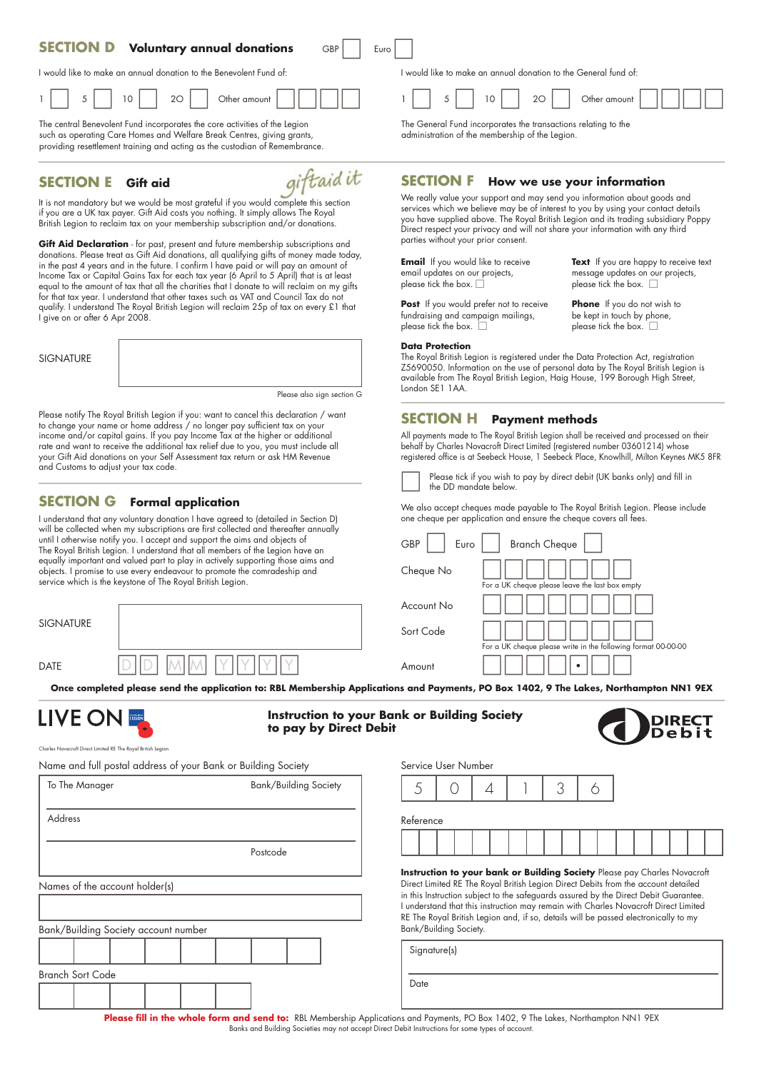#### **SECTION D Voluntary annual donations** GBP | Euro

I would like to make an annual donation to the Benevolent Fund of:

|  |  | $\overline{\phantom{0}}$<br>$\sim$ |  | ۰<br>$\sim$ |  | - - |  | ካተ |  |  |  |  |  |
|--|--|------------------------------------|--|-------------|--|-----|--|----|--|--|--|--|--|
|--|--|------------------------------------|--|-------------|--|-----|--|----|--|--|--|--|--|

The central Benevolent Fund incorporates the core activities of the Legion such as operating Care Homes and Welfare Break Centres, giving grants, providing resettlement training and acting as the custodian of Remembrance.

#### **SECTION E Gift aid**

giftaid it

It is not mandatory but we would be most grateful if you would complete this section if you are a UK tax payer. Gift Aid costs you nothing. It simply allows The Royal British Legion to reclaim tax on your membership subscription and/or donations.

**Gift Aid Declaration** - for past, present and future membership subscriptions and donations. Please treat as Gift Aid donations, all qualifying gifts of money made today, in the past 4 years and in the future. I confirm I have paid or will pay an amount of Income Tax or Capital Gains Tax for each tax year (6 April to 5 April) that is at least equal to the amount of tax that all the charities that I donate to will reclaim on my gifts for that tax year. I understand that other taxes such as VAT and Council Tax do not qualify. I understand The Royal British Legion will reclaim 25p of tax on every £1 that I give on or after 6 Apr 2008.

SIGNATURE



Please also sign section G

Please notify The Royal British Legion if you: want to cancel this declaration / want to change your name or home address / no longer pay sufficient tax on your income and/or capital gains. If you pay Income Tax at the higher or additional rate and want to receive the additional tax relief due to you, you must include all your Gift Aid donations on your Self Assessment tax return or ask HM Revenue and Customs to adjust your tax code.

### **SECTION G Formal application**

I understand that any voluntary donation I have agreed to (detailed in Section D) will be collected when my subscriptions are first collected and thereafter annually until I otherwise notify you. I accept and support the aims and objects of The Royal British Legion. I understand that all members of the Legion have an equally important and valued part to play in actively supporting those aims and objects. I promise to use every endeavour to promote the comradeship and service which is the keystone of The Royal British Legion.

| <b>SIGNATURE</b> |  |  |
|------------------|--|--|
| DATE             |  |  |

I would like to make an annual donation to the General fund of:

|  | -<br>$\sim$ |  |  |  | __ |  |  |  |  |  |  |  |
|--|-------------|--|--|--|----|--|--|--|--|--|--|--|
|--|-------------|--|--|--|----|--|--|--|--|--|--|--|

The General Fund incorporates the transactions relating to the administration of the membership of the Legion.

#### **SECTION F How we use your information**

We really value your support and may send you information about goods and services which we believe may be of interest to you by using your contact details you have supplied above. The Royal British Legion and its trading subsidiary Poppy Direct respect your privacy and will not share your information with any third parties without your prior consent.

**Email** If you would like to receive **Text** If you are happy to receive text email updates on our projects, email updates on our projects,<br>
please tick the box  $\Box$ <br>
please tick the box  $\Box$ 

fundraising and campaign mailings,

please tick the box.  $\Box$ 

**Post** If you would prefer not to receive **Phone** If you do not wish to please tick the box.  $\Box$  please tick the box.  $\Box$ 

#### **Data Protection**

The Royal British Legion is registered under the Data Protection Act, registration Z5690050. Information on the use of personal data by The Royal British Legion is available from The Royal British Legion, Haig House, 199 Borough High Street, London SE1 1AA.

#### **SECTION H Payment methods**

All payments made to The Royal British Legion shall be received and processed on their behalf by Charles Novacroft Direct Limited (registered number 03601214) whose registered office is at Seebeck House, 1 Seebeck Place, Knowlhill, Milton Keynes MK5 8FR



Please tick if you wish to pay by direct debit (UK banks only) and fill in the DD mandate below.

We also accept cheques made payable to The Royal British Legion. Please include one cheque per application and ensure the cheque covers all fees.

| <b>GBP</b><br>Euro | <b>Branch Cheque</b>                                          |
|--------------------|---------------------------------------------------------------|
| Cheque No          | For a UK cheque please leave the last box empty               |
| Account No         |                                                               |
| Sort Code          | For a UK cheque please write in the following format 00-00-00 |
| Amount             |                                                               |

**Once completed please send the application to: RBL Membership Applications and Payments, PO Box 1402, 9 The Lakes, Northampton NN1 9EX**



**Instruction to your Bank or Building Society to pay by Direct Debit**



Charles Novacroft Direct Limited RE The Royal British Legion

Name and full postal address of your Bank or Building Society

| To The Manager                       |  | Bank/Building Society |          |  |  |
|--------------------------------------|--|-----------------------|----------|--|--|
| Address                              |  |                       |          |  |  |
|                                      |  |                       | Postcode |  |  |
| Names of the account holder(s)       |  |                       |          |  |  |
|                                      |  |                       |          |  |  |
| Bank/Building Society account number |  |                       |          |  |  |
|                                      |  |                       |          |  |  |
| <b>Branch Sort Code</b>              |  |                       |          |  |  |
|                                      |  |                       |          |  |  |

## 5 0 4 1 3 6 Reference

**Instruction to your bank or Building Society** Please pay Charles Novacroft Direct Limited RE The Royal British Legion Direct Debits from the account detailed in this Instruction subject to the safeguards assured by the Direct Debit Guarantee. I understand that this instruction may remain with Charles Novacroft Direct Limited RE The Royal British Legion and, if so, details will be passed electronically to my Bank/Building Society.

Signature(s) Date

Service User Number

**Please fill in the whole form and send to:** RBL Membership Applications and Payments, PO Box 1402, 9 The Lakes, Northampton NN1 9EX Banks and Building Societies may not accept Direct Debit Instructions for some types of account.